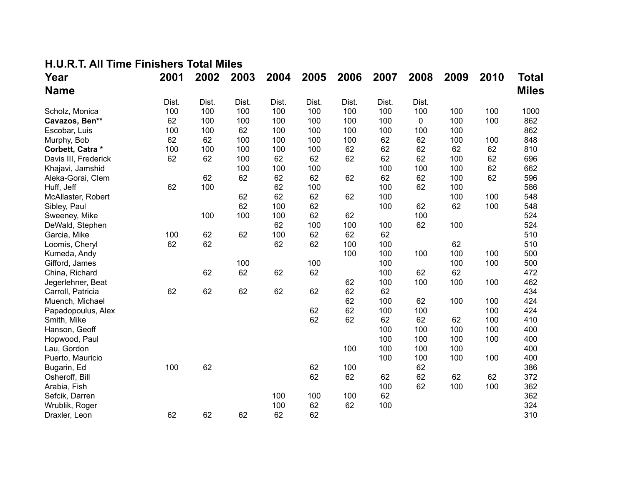## **H.U.R.T. All Time Finishers Total Miles**

| Year                 | 2001  | 2002  | 2003  | 2004  | 2005  | 2006  | 2007  | 2008  | 2009 | 2010 | Total        |
|----------------------|-------|-------|-------|-------|-------|-------|-------|-------|------|------|--------------|
| <b>Name</b>          |       |       |       |       |       |       |       |       |      |      | <b>Miles</b> |
|                      | Dist. | Dist. | Dist. | Dist. | Dist. | Dist. | Dist. | Dist. |      |      |              |
| Scholz, Monica       | 100   | 100   | 100   | 100   | 100   | 100   | 100   | 100   | 100  | 100  | 1000         |
| Cavazos, Ben**       | 62    | 100   | 100   | 100   | 100   | 100   | 100   | 0     | 100  | 100  | 862          |
| Escobar, Luis        | 100   | 100   | 62    | 100   | 100   | 100   | 100   | 100   | 100  |      | 862          |
| Murphy, Bob          | 62    | 62    | 100   | 100   | 100   | 100   | 62    | 62    | 100  | 100  | 848          |
| Corbett, Catra *     | 100   | 100   | 100   | 100   | 100   | 62    | 62    | 62    | 62   | 62   | 810          |
| Davis III, Frederick | 62    | 62    | 100   | 62    | 62    | 62    | 62    | 62    | 100  | 62   | 696          |
| Khajavi, Jamshid     |       |       | 100   | 100   | 100   |       | 100   | 100   | 100  | 62   | 662          |
| Aleka-Gorai, Clem    |       | 62    | 62    | 62    | 62    | 62    | 62    | 62    | 100  | 62   | 596          |
| Huff, Jeff           | 62    | 100   |       | 62    | 100   |       | 100   | 62    | 100  |      | 586          |
| McAllaster, Robert   |       |       | 62    | 62    | 62    | 62    | 100   |       | 100  | 100  | 548          |
| Sibley, Paul         |       |       | 62    | 100   | 62    |       | 100   | 62    | 62   | 100  | 548          |
| Sweeney, Mike        |       | 100   | 100   | 100   | 62    | 62    |       | 100   |      |      | 524          |
| DeWald, Stephen      |       |       |       | 62    | 100   | 100   | 100   | 62    | 100  |      | 524          |
| Garcia, Mike         | 100   | 62    | 62    | 100   | 62    | 62    | 62    |       |      |      | 510          |
| Loomis, Cheryl       | 62    | 62    |       | 62    | 62    | 100   | 100   |       | 62   |      | 510          |
| Kumeda, Andy         |       |       |       |       |       | 100   | 100   | 100   | 100  | 100  | 500          |
| Gifford, James       |       |       | 100   |       | 100   |       | 100   |       | 100  | 100  | 500          |
| China, Richard       |       | 62    | 62    | 62    | 62    |       | 100   | 62    | 62   |      | 472          |
| Jegerlehner, Beat    |       |       |       |       |       | 62    | 100   | 100   | 100  | 100  | 462          |
| Carroll, Patricia    | 62    | 62    | 62    | 62    | 62    | 62    | 62    |       |      |      | 434          |
| Muench, Michael      |       |       |       |       |       | 62    | 100   | 62    | 100  | 100  | 424          |
| Papadopoulus, Alex   |       |       |       |       | 62    | 62    | 100   | 100   |      | 100  | 424          |
| Smith, Mike          |       |       |       |       | 62    | 62    | 62    | 62    | 62   | 100  | 410          |
| Hanson, Geoff        |       |       |       |       |       |       | 100   | 100   | 100  | 100  | 400          |
| Hopwood, Paul        |       |       |       |       |       |       | 100   | 100   | 100  | 100  | 400          |
| Lau, Gordon          |       |       |       |       |       | 100   | 100   | 100   | 100  |      | 400          |
| Puerto, Mauricio     |       |       |       |       |       |       | 100   | 100   | 100  | 100  | 400          |
| Bugarin, Ed          | 100   | 62    |       |       | 62    | 100   |       | 62    |      |      | 386          |
| Osheroff, Bill       |       |       |       |       | 62    | 62    | 62    | 62    | 62   | 62   | 372          |
| Arabia, Fish         |       |       |       |       |       |       | 100   | 62    | 100  | 100  | 362          |
| Sefcik, Darren       |       |       |       | 100   | 100   | 100   | 62    |       |      |      | 362          |
| Wrublik, Roger       |       |       |       | 100   | 62    | 62    | 100   |       |      |      | 324          |
| Draxler, Leon        | 62    | 62    | 62    | 62    | 62    |       |       |       |      |      | 310          |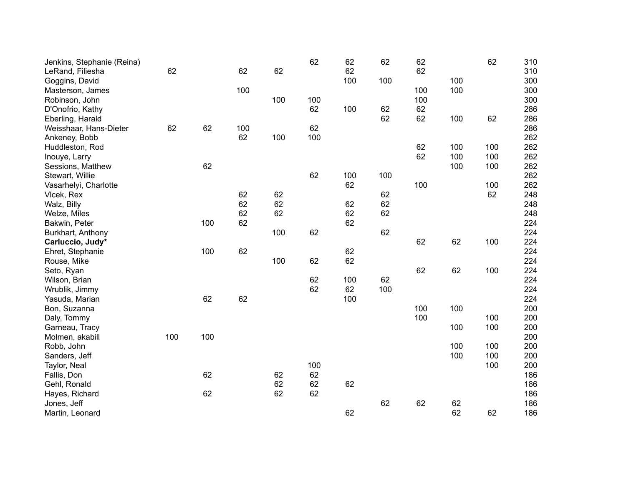| Jenkins, Stephanie (Reina) |     |     |     |     | 62  | 62  | 62  | 62  |     | 62  | 310 |
|----------------------------|-----|-----|-----|-----|-----|-----|-----|-----|-----|-----|-----|
| LeRand, Filiesha           | 62  |     | 62  | 62  |     | 62  |     | 62  |     |     | 310 |
| Goggins, David             |     |     |     |     |     | 100 | 100 |     | 100 |     | 300 |
| Masterson, James           |     |     | 100 |     |     |     |     | 100 | 100 |     | 300 |
| Robinson, John             |     |     |     | 100 | 100 |     |     | 100 |     |     | 300 |
| D'Onofrio, Kathy           |     |     |     |     | 62  | 100 | 62  | 62  |     |     | 286 |
| Eberling, Harald           |     |     |     |     |     |     | 62  | 62  | 100 | 62  | 286 |
| Weisshaar, Hans-Dieter     | 62  | 62  | 100 |     | 62  |     |     |     |     |     | 286 |
| Ankeney, Bobb              |     |     | 62  | 100 | 100 |     |     |     |     |     | 262 |
| Huddleston, Rod            |     |     |     |     |     |     |     | 62  | 100 | 100 | 262 |
| Inouye, Larry              |     |     |     |     |     |     |     | 62  | 100 | 100 | 262 |
| Sessions, Matthew          |     | 62  |     |     |     |     |     |     | 100 | 100 | 262 |
| Stewart, Willie            |     |     |     |     | 62  | 100 | 100 |     |     |     | 262 |
| Vasarhelyi, Charlotte      |     |     |     |     |     | 62  |     | 100 |     | 100 | 262 |
| Vicek, Rex                 |     |     | 62  | 62  |     |     | 62  |     |     | 62  | 248 |
| Walz, Billy                |     |     | 62  | 62  |     | 62  | 62  |     |     |     | 248 |
| Welze, Miles               |     |     | 62  | 62  |     | 62  | 62  |     |     |     | 248 |
| Bakwin, Peter              |     | 100 | 62  |     |     | 62  |     |     |     |     | 224 |
| Burkhart, Anthony          |     |     |     | 100 | 62  |     | 62  |     |     |     | 224 |
| Carluccio, Judy*           |     |     |     |     |     |     |     | 62  | 62  | 100 | 224 |
| Ehret, Stephanie           |     | 100 | 62  |     |     | 62  |     |     |     |     | 224 |
| Rouse, Mike                |     |     |     | 100 | 62  | 62  |     |     |     |     | 224 |
| Seto, Ryan                 |     |     |     |     |     |     |     | 62  | 62  | 100 | 224 |
| Wilson, Brian              |     |     |     |     | 62  | 100 | 62  |     |     |     | 224 |
| Wrublik, Jimmy             |     |     |     |     | 62  | 62  | 100 |     |     |     | 224 |
| Yasuda, Marian             |     | 62  | 62  |     |     | 100 |     |     |     |     | 224 |
| Bon, Suzanna               |     |     |     |     |     |     |     | 100 | 100 |     | 200 |
| Daly, Tommy                |     |     |     |     |     |     |     | 100 |     | 100 | 200 |
| Garneau, Tracy             |     |     |     |     |     |     |     |     | 100 | 100 | 200 |
| Molmen, akabill            | 100 | 100 |     |     |     |     |     |     |     |     | 200 |
| Robb, John                 |     |     |     |     |     |     |     |     | 100 | 100 | 200 |
| Sanders, Jeff              |     |     |     |     |     |     |     |     | 100 | 100 | 200 |
| Taylor, Neal               |     |     |     |     | 100 |     |     |     |     | 100 | 200 |
| Fallis, Don                |     | 62  |     | 62  | 62  |     |     |     |     |     | 186 |
| Gehl, Ronald               |     |     |     | 62  | 62  | 62  |     |     |     |     | 186 |
| Hayes, Richard             |     | 62  |     | 62  | 62  |     |     |     |     |     | 186 |
| Jones, Jeff                |     |     |     |     |     |     | 62  | 62  | 62  |     | 186 |
| Martin, Leonard            |     |     |     |     |     | 62  |     |     | 62  | 62  | 186 |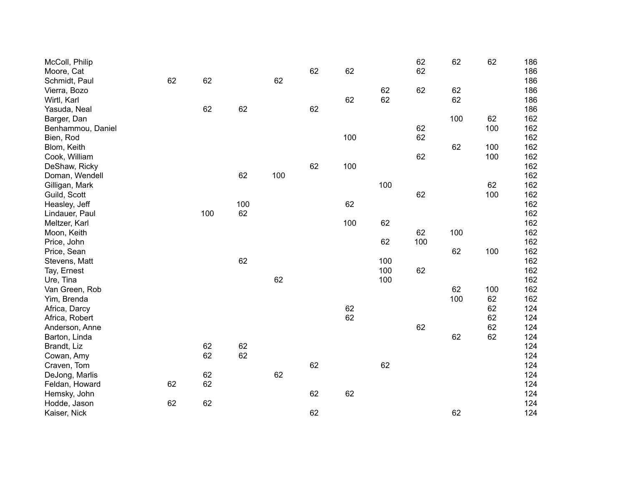| McColl, Philip    |    |     |     |     |    |     |     | 62  | 62  | 62  | 186 |
|-------------------|----|-----|-----|-----|----|-----|-----|-----|-----|-----|-----|
| Moore, Cat        |    |     |     |     | 62 | 62  |     | 62  |     |     | 186 |
| Schmidt, Paul     | 62 | 62  |     | 62  |    |     |     |     |     |     | 186 |
| Vierra, Bozo      |    |     |     |     |    |     | 62  | 62  | 62  |     | 186 |
| Wirtl, Karl       |    |     |     |     |    | 62  | 62  |     | 62  |     | 186 |
| Yasuda, Neal      |    | 62  | 62  |     | 62 |     |     |     |     |     | 186 |
| Barger, Dan       |    |     |     |     |    |     |     |     | 100 | 62  | 162 |
| Benhammou, Daniel |    |     |     |     |    |     |     | 62  |     | 100 | 162 |
| Bien, Rod         |    |     |     |     |    | 100 |     | 62  |     |     | 162 |
| Blom, Keith       |    |     |     |     |    |     |     |     | 62  | 100 | 162 |
| Cook, William     |    |     |     |     |    |     |     | 62  |     | 100 | 162 |
| DeShaw, Ricky     |    |     |     |     | 62 | 100 |     |     |     |     | 162 |
| Doman, Wendell    |    |     | 62  | 100 |    |     |     |     |     |     | 162 |
| Gilligan, Mark    |    |     |     |     |    |     | 100 |     |     | 62  | 162 |
| Guild, Scott      |    |     |     |     |    |     |     | 62  |     | 100 | 162 |
| Heasley, Jeff     |    |     | 100 |     |    | 62  |     |     |     |     | 162 |
| Lindauer, Paul    |    | 100 | 62  |     |    |     |     |     |     |     | 162 |
| Meltzer, Karl     |    |     |     |     |    | 100 | 62  |     |     |     | 162 |
| Moon, Keith       |    |     |     |     |    |     |     | 62  | 100 |     | 162 |
| Price, John       |    |     |     |     |    |     | 62  | 100 |     |     | 162 |
| Price, Sean       |    |     |     |     |    |     |     |     | 62  | 100 | 162 |
| Stevens, Matt     |    |     | 62  |     |    |     | 100 |     |     |     | 162 |
| Tay, Ernest       |    |     |     |     |    |     | 100 | 62  |     |     | 162 |
| Ure, Tina         |    |     |     | 62  |    |     | 100 |     |     |     | 162 |
| Van Green, Rob    |    |     |     |     |    |     |     |     | 62  | 100 | 162 |
| Yim, Brenda       |    |     |     |     |    |     |     |     | 100 | 62  | 162 |
| Africa, Darcy     |    |     |     |     |    | 62  |     |     |     | 62  | 124 |
| Africa, Robert    |    |     |     |     |    | 62  |     |     |     | 62  | 124 |
| Anderson, Anne    |    |     |     |     |    |     |     | 62  |     | 62  | 124 |
| Barton, Linda     |    |     |     |     |    |     |     |     | 62  | 62  | 124 |
| Brandt, Liz       |    | 62  | 62  |     |    |     |     |     |     |     | 124 |
| Cowan, Amy        |    | 62  | 62  |     |    |     |     |     |     |     | 124 |
| Craven, Tom       |    |     |     |     | 62 |     | 62  |     |     |     | 124 |
| DeJong, Marlis    |    | 62  |     | 62  |    |     |     |     |     |     | 124 |
| Feldan, Howard    | 62 | 62  |     |     |    |     |     |     |     |     | 124 |
| Hemsky, John      |    |     |     |     | 62 | 62  |     |     |     |     | 124 |
| Hodde, Jason      | 62 | 62  |     |     |    |     |     |     |     |     | 124 |
| Kaiser, Nick      |    |     |     |     | 62 |     |     |     | 62  |     | 124 |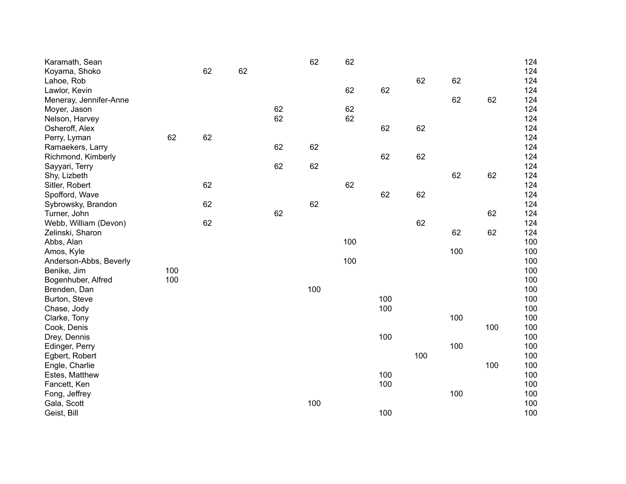| Karamath, Sean         |     |    |    |    | 62  | 62  |     |     |     |     | 124 |
|------------------------|-----|----|----|----|-----|-----|-----|-----|-----|-----|-----|
| Koyama, Shoko          |     | 62 | 62 |    |     |     |     |     |     |     | 124 |
| Lahoe, Rob             |     |    |    |    |     |     |     | 62  | 62  |     | 124 |
| Lawlor, Kevin          |     |    |    |    |     | 62  | 62  |     |     |     | 124 |
| Meneray, Jennifer-Anne |     |    |    |    |     |     |     |     | 62  | 62  | 124 |
| Moyer, Jason           |     |    |    | 62 |     | 62  |     |     |     |     | 124 |
| Nelson, Harvey         |     |    |    | 62 |     | 62  |     |     |     |     | 124 |
| Osheroff, Alex         |     |    |    |    |     |     | 62  | 62  |     |     | 124 |
| Perry, Lyman           | 62  | 62 |    |    |     |     |     |     |     |     | 124 |
| Ramaekers, Larry       |     |    |    | 62 | 62  |     |     |     |     |     | 124 |
| Richmond, Kimberly     |     |    |    |    |     |     | 62  | 62  |     |     | 124 |
| Sayyari, Terry         |     |    |    | 62 | 62  |     |     |     |     |     | 124 |
| Shy, Lizbeth           |     |    |    |    |     |     |     |     | 62  | 62  | 124 |
| Sitler, Robert         |     | 62 |    |    |     | 62  |     |     |     |     | 124 |
| Spofford, Wave         |     |    |    |    |     |     | 62  | 62  |     |     | 124 |
| Sybrowsky, Brandon     |     | 62 |    |    | 62  |     |     |     |     |     | 124 |
| Turner, John           |     |    |    | 62 |     |     |     |     |     | 62  | 124 |
| Webb, William (Devon)  |     | 62 |    |    |     |     |     | 62  |     |     | 124 |
| Zelinski, Sharon       |     |    |    |    |     |     |     |     | 62  | 62  | 124 |
| Abbs, Alan             |     |    |    |    |     | 100 |     |     |     |     | 100 |
| Amos, Kyle             |     |    |    |    |     |     |     |     | 100 |     | 100 |
| Anderson-Abbs, Beverly |     |    |    |    |     | 100 |     |     |     |     | 100 |
| Benike, Jim            | 100 |    |    |    |     |     |     |     |     |     | 100 |
| Bogenhuber, Alfred     | 100 |    |    |    |     |     |     |     |     |     | 100 |
| Brenden, Dan           |     |    |    |    | 100 |     |     |     |     |     | 100 |
| Burton, Steve          |     |    |    |    |     |     | 100 |     |     |     | 100 |
| Chase, Jody            |     |    |    |    |     |     | 100 |     |     |     | 100 |
| Clarke, Tony           |     |    |    |    |     |     |     |     | 100 |     | 100 |
| Cook, Denis            |     |    |    |    |     |     |     |     |     | 100 | 100 |
| Drey, Dennis           |     |    |    |    |     |     | 100 |     |     |     | 100 |
| Edinger, Perry         |     |    |    |    |     |     |     |     | 100 |     | 100 |
| Egbert, Robert         |     |    |    |    |     |     |     | 100 |     |     | 100 |
| Engle, Charlie         |     |    |    |    |     |     |     |     |     | 100 | 100 |
| Estes, Matthew         |     |    |    |    |     |     | 100 |     |     |     | 100 |
| Fancett, Ken           |     |    |    |    |     |     | 100 |     |     |     | 100 |
| Fong, Jeffrey          |     |    |    |    |     |     |     |     | 100 |     | 100 |
| Gala, Scott            |     |    |    |    | 100 |     |     |     |     |     | 100 |
| Geist, Bill            |     |    |    |    |     |     | 100 |     |     |     | 100 |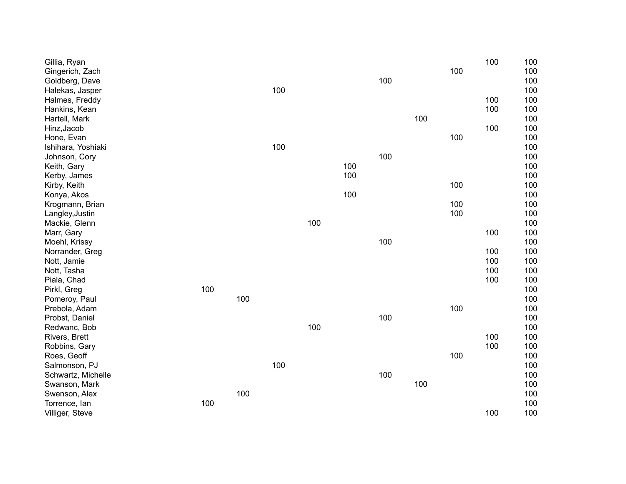| Gillia, Ryan       |     |     |     |     |     |     |     |     | 100 | 100 |
|--------------------|-----|-----|-----|-----|-----|-----|-----|-----|-----|-----|
| Gingerich, Zach    |     |     |     |     |     |     |     | 100 |     | 100 |
| Goldberg, Dave     |     |     |     |     |     | 100 |     |     |     | 100 |
| Halekas, Jasper    |     |     | 100 |     |     |     |     |     |     | 100 |
| Halmes, Freddy     |     |     |     |     |     |     |     |     | 100 | 100 |
| Hankins, Kean      |     |     |     |     |     |     |     |     | 100 | 100 |
| Hartell, Mark      |     |     |     |     |     |     | 100 |     |     | 100 |
| Hinz, Jacob        |     |     |     |     |     |     |     |     | 100 | 100 |
| Hone, Evan         |     |     |     |     |     |     |     | 100 |     | 100 |
| Ishihara, Yoshiaki |     |     | 100 |     |     |     |     |     |     | 100 |
| Johnson, Cory      |     |     |     |     |     | 100 |     |     |     | 100 |
| Keith, Gary        |     |     |     |     | 100 |     |     |     |     | 100 |
| Kerby, James       |     |     |     |     | 100 |     |     |     |     | 100 |
| Kirby, Keith       |     |     |     |     |     |     |     | 100 |     | 100 |
| Konya, Akos        |     |     |     |     | 100 |     |     |     |     | 100 |
| Krogmann, Brian    |     |     |     |     |     |     |     | 100 |     | 100 |
| Langley, Justin    |     |     |     |     |     |     |     | 100 |     | 100 |
| Mackie, Glenn      |     |     |     | 100 |     |     |     |     |     | 100 |
| Marr, Gary         |     |     |     |     |     |     |     |     | 100 | 100 |
| Moehl, Krissy      |     |     |     |     |     | 100 |     |     |     | 100 |
| Norrander, Greg    |     |     |     |     |     |     |     |     | 100 | 100 |
| Nott, Jamie        |     |     |     |     |     |     |     |     | 100 | 100 |
| Nott, Tasha        |     |     |     |     |     |     |     |     | 100 | 100 |
| Piala, Chad        |     |     |     |     |     |     |     |     | 100 | 100 |
| Pirkl, Greg        | 100 |     |     |     |     |     |     |     |     | 100 |
| Pomeroy, Paul      |     | 100 |     |     |     |     |     |     |     | 100 |
| Prebola, Adam      |     |     |     |     |     |     |     | 100 |     | 100 |
| Probst, Daniel     |     |     |     |     |     | 100 |     |     |     | 100 |
| Redwanc, Bob       |     |     |     | 100 |     |     |     |     |     | 100 |
| Rivers, Brett      |     |     |     |     |     |     |     |     | 100 | 100 |
| Robbins, Gary      |     |     |     |     |     |     |     |     | 100 | 100 |
| Roes, Geoff        |     |     |     |     |     |     |     | 100 |     | 100 |
| Salmonson, PJ      |     |     | 100 |     |     |     |     |     |     | 100 |
| Schwartz, Michelle |     |     |     |     |     | 100 |     |     |     | 100 |
| Swanson, Mark      |     |     |     |     |     |     | 100 |     |     | 100 |
| Swenson, Alex      |     | 100 |     |     |     |     |     |     |     | 100 |
| Torrence, lan      | 100 |     |     |     |     |     |     |     |     | 100 |
| Villiger, Steve    |     |     |     |     |     |     |     |     | 100 | 100 |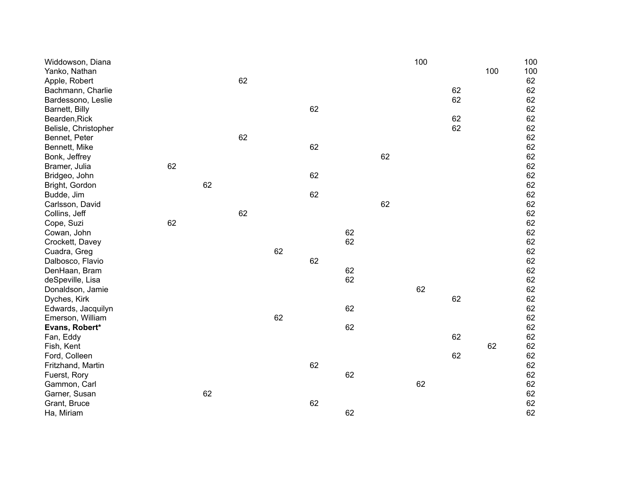| Widdowson, Diana     |    |    |    |    |    |    |    | 100 |    |     | 100 |
|----------------------|----|----|----|----|----|----|----|-----|----|-----|-----|
| Yanko, Nathan        |    |    |    |    |    |    |    |     |    | 100 | 100 |
| Apple, Robert        |    |    | 62 |    |    |    |    |     |    |     | 62  |
| Bachmann, Charlie    |    |    |    |    |    |    |    |     | 62 |     | 62  |
| Bardessono, Leslie   |    |    |    |    |    |    |    |     | 62 |     | 62  |
| Barnett, Billy       |    |    |    |    | 62 |    |    |     |    |     | 62  |
| Bearden, Rick        |    |    |    |    |    |    |    |     | 62 |     | 62  |
| Belisle, Christopher |    |    |    |    |    |    |    |     | 62 |     | 62  |
| Bennet, Peter        |    |    | 62 |    |    |    |    |     |    |     | 62  |
| Bennett, Mike        |    |    |    |    | 62 |    |    |     |    |     | 62  |
| Bonk, Jeffrey        |    |    |    |    |    |    | 62 |     |    |     | 62  |
| Bramer, Julia        | 62 |    |    |    |    |    |    |     |    |     | 62  |
| Bridgeo, John        |    |    |    |    | 62 |    |    |     |    |     | 62  |
| Bright, Gordon       |    | 62 |    |    |    |    |    |     |    |     | 62  |
| Budde, Jim           |    |    |    |    | 62 |    |    |     |    |     | 62  |
| Carlsson, David      |    |    |    |    |    |    | 62 |     |    |     | 62  |
| Collins, Jeff        |    |    | 62 |    |    |    |    |     |    |     | 62  |
| Cope, Suzi           | 62 |    |    |    |    |    |    |     |    |     | 62  |
| Cowan, John          |    |    |    |    |    | 62 |    |     |    |     | 62  |
| Crockett, Davey      |    |    |    |    |    | 62 |    |     |    |     | 62  |
| Cuadra, Greg         |    |    |    | 62 |    |    |    |     |    |     | 62  |
| Dalbosco, Flavio     |    |    |    |    | 62 |    |    |     |    |     | 62  |
| DenHaan, Bram        |    |    |    |    |    | 62 |    |     |    |     | 62  |
| deSpeville, Lisa     |    |    |    |    |    | 62 |    |     |    |     | 62  |
| Donaldson, Jamie     |    |    |    |    |    |    |    | 62  |    |     | 62  |
| Dyches, Kirk         |    |    |    |    |    |    |    |     | 62 |     | 62  |
| Edwards, Jacquilyn   |    |    |    |    |    | 62 |    |     |    |     | 62  |
| Emerson, William     |    |    |    | 62 |    |    |    |     |    |     | 62  |
| Evans, Robert*       |    |    |    |    |    | 62 |    |     |    |     | 62  |
| Fan, Eddy            |    |    |    |    |    |    |    |     | 62 |     | 62  |
| Fish, Kent           |    |    |    |    |    |    |    |     |    | 62  | 62  |
| Ford, Colleen        |    |    |    |    |    |    |    |     | 62 |     | 62  |
| Fritzhand, Martin    |    |    |    |    | 62 |    |    |     |    |     | 62  |
| Fuerst, Rory         |    |    |    |    |    | 62 |    |     |    |     | 62  |
| Gammon, Carl         |    |    |    |    |    |    |    | 62  |    |     | 62  |
| Garner, Susan        |    | 62 |    |    |    |    |    |     |    |     | 62  |
| Grant, Bruce         |    |    |    |    | 62 |    |    |     |    |     | 62  |
| Ha, Miriam           |    |    |    |    |    | 62 |    |     |    |     | 62  |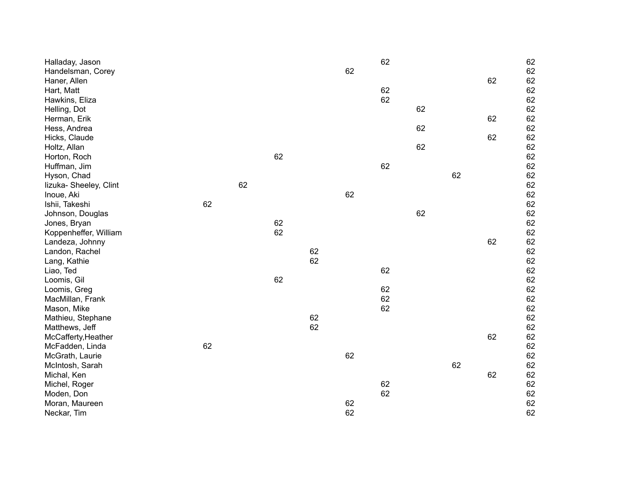| Halladay, Jason                   |    |    |    |    | 62 | 62 |    |    | 62<br>62 |
|-----------------------------------|----|----|----|----|----|----|----|----|----------|
| Handelsman, Corey<br>Haner, Allen |    |    |    |    |    |    |    |    | 62<br>62 |
| Hart, Matt                        |    |    |    |    |    | 62 |    |    | 62       |
| Hawkins, Eliza                    |    |    |    |    |    | 62 |    |    | 62       |
| Helling, Dot                      |    |    |    |    |    |    | 62 |    | 62       |
| Herman, Erik                      |    |    |    |    |    |    |    |    | 62<br>62 |
| Hess, Andrea                      |    |    |    |    |    |    | 62 |    | 62       |
| Hicks, Claude                     |    |    |    |    |    |    |    |    | 62<br>62 |
| Holtz, Allan                      |    |    |    |    |    |    | 62 |    | 62       |
| Horton, Roch                      |    |    | 62 |    |    |    |    |    | 62       |
| Huffman, Jim                      |    |    |    |    |    | 62 |    |    | 62       |
| Hyson, Chad                       |    |    |    |    |    |    |    | 62 | 62       |
| lizuka- Sheeley, Clint            |    | 62 |    |    |    |    |    |    | 62       |
| Inoue, Aki                        |    |    |    |    | 62 |    |    |    | 62       |
| Ishii, Takeshi                    | 62 |    |    |    |    |    |    |    | 62       |
| Johnson, Douglas                  |    |    |    |    |    |    | 62 |    | 62       |
| Jones, Bryan                      |    |    | 62 |    |    |    |    |    | 62       |
| Koppenheffer, William             |    |    | 62 |    |    |    |    |    | 62       |
| Landeza, Johnny                   |    |    |    |    |    |    |    |    | 62<br>62 |
| Landon, Rachel                    |    |    |    | 62 |    |    |    |    | 62       |
| Lang, Kathie                      |    |    |    | 62 |    |    |    |    | 62       |
| Liao, Ted                         |    |    |    |    |    | 62 |    |    | 62       |
| Loomis, Gil                       |    |    | 62 |    |    |    |    |    | 62       |
| Loomis, Greg                      |    |    |    |    |    | 62 |    |    | 62       |
| MacMillan, Frank                  |    |    |    |    |    | 62 |    |    | 62       |
| Mason, Mike                       |    |    |    |    |    | 62 |    |    | 62       |
| Mathieu, Stephane                 |    |    |    | 62 |    |    |    |    | 62       |
| Matthews, Jeff                    |    |    |    | 62 |    |    |    |    | 62       |
| McCafferty, Heather               |    |    |    |    |    |    |    |    | 62<br>62 |
| McFadden, Linda                   | 62 |    |    |    |    |    |    |    | 62       |
| McGrath, Laurie                   |    |    |    |    | 62 |    |    |    | 62       |
| McIntosh, Sarah                   |    |    |    |    |    |    |    | 62 | 62       |
| Michal, Ken                       |    |    |    |    |    |    |    |    | 62<br>62 |
| Michel, Roger                     |    |    |    |    |    | 62 |    |    | 62       |
| Moden, Don                        |    |    |    |    |    | 62 |    |    | 62       |
| Moran, Maureen                    |    |    |    |    | 62 |    |    |    | 62       |
| Neckar, Tim                       |    |    |    |    | 62 |    |    |    | 62       |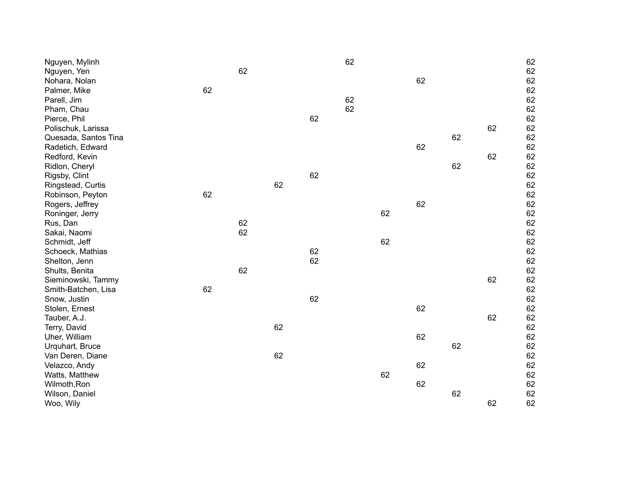| Nguyen, Mylinh       |    |    |    |    | 62 |    |    |    |    | 62 |
|----------------------|----|----|----|----|----|----|----|----|----|----|
| Nguyen, Yen          |    | 62 |    |    |    |    |    |    |    | 62 |
| Nohara, Nolan        |    |    |    |    |    |    | 62 |    |    | 62 |
| Palmer, Mike         | 62 |    |    |    |    |    |    |    |    | 62 |
| Parell, Jim          |    |    |    |    | 62 |    |    |    |    | 62 |
| Pham, Chau           |    |    |    |    | 62 |    |    |    |    | 62 |
| Pierce, Phil         |    |    |    | 62 |    |    |    |    |    | 62 |
| Polischuk, Larissa   |    |    |    |    |    |    |    |    | 62 | 62 |
| Quesada, Santos Tina |    |    |    |    |    |    |    | 62 |    | 62 |
| Radetich, Edward     |    |    |    |    |    |    | 62 |    |    | 62 |
| Redford, Kevin       |    |    |    |    |    |    |    |    | 62 | 62 |
| Ridlon, Cheryl       |    |    |    |    |    |    |    | 62 |    | 62 |
| Rigsby, Clint        |    |    |    | 62 |    |    |    |    |    | 62 |
| Ringstead, Curtis    |    |    | 62 |    |    |    |    |    |    | 62 |
| Robinson, Peyton     | 62 |    |    |    |    |    |    |    |    | 62 |
| Rogers, Jeffrey      |    |    |    |    |    |    | 62 |    |    | 62 |
| Roninger, Jerry      |    |    |    |    |    | 62 |    |    |    | 62 |
| Rus, Dan             |    | 62 |    |    |    |    |    |    |    | 62 |
| Sakai, Naomi         |    | 62 |    |    |    |    |    |    |    | 62 |
| Schmidt, Jeff        |    |    |    |    |    | 62 |    |    |    | 62 |
| Schoeck, Mathias     |    |    |    | 62 |    |    |    |    |    | 62 |
| Shelton, Jenn        |    |    |    | 62 |    |    |    |    |    | 62 |
| Shults, Benita       |    | 62 |    |    |    |    |    |    |    | 62 |
| Sieminowski, Tammy   |    |    |    |    |    |    |    |    | 62 | 62 |
| Smith-Batchen, Lisa  | 62 |    |    |    |    |    |    |    |    | 62 |
| Snow, Justin         |    |    |    | 62 |    |    |    |    |    | 62 |
| Stolen, Ernest       |    |    |    |    |    |    | 62 |    |    | 62 |
| Tauber, A.J.         |    |    |    |    |    |    |    |    | 62 | 62 |
| Terry, David         |    |    | 62 |    |    |    |    |    |    | 62 |
| Uher, William        |    |    |    |    |    |    | 62 |    |    | 62 |
| Urquhart, Bruce      |    |    |    |    |    |    |    | 62 |    | 62 |
| Van Deren, Diane     |    |    | 62 |    |    |    |    |    |    | 62 |
| Velazco, Andy        |    |    |    |    |    |    | 62 |    |    | 62 |
| Watts, Matthew       |    |    |    |    |    | 62 |    |    |    | 62 |
| Wilmoth, Ron         |    |    |    |    |    |    | 62 |    |    | 62 |
| Wilson, Daniel       |    |    |    |    |    |    |    | 62 |    | 62 |
| Woo, Wily            |    |    |    |    |    |    |    |    | 62 | 62 |